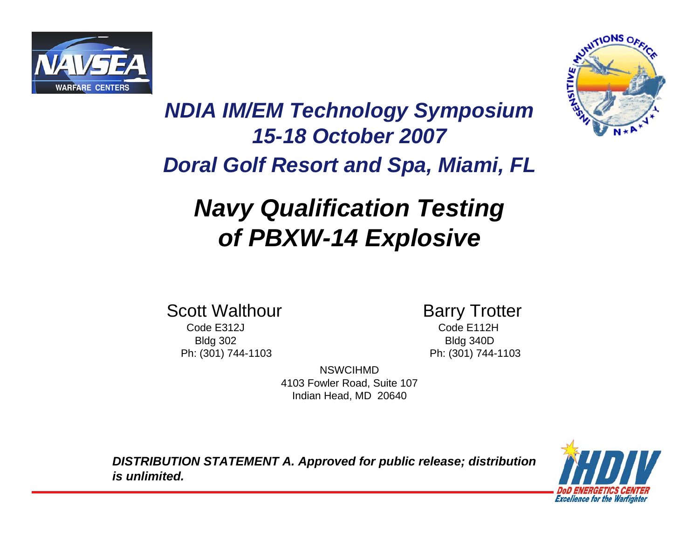



#### *NDIA IM/EM Technology Symposium 15-18 October 2007 Doral Golf Resort and Spa, Miami, FL*

## *Navy Qualification Testing of PBXW-14 Explosive*

Scott Walthour **Barry Trotter** 

Code E312J Code E112HBldg 302 Bldg 340D Ph: (301) 744-1103 Ph: (301) 744-1103

NSWCIHMD4103 Fowler Road, Suite 107 Indian Head, MD 20640

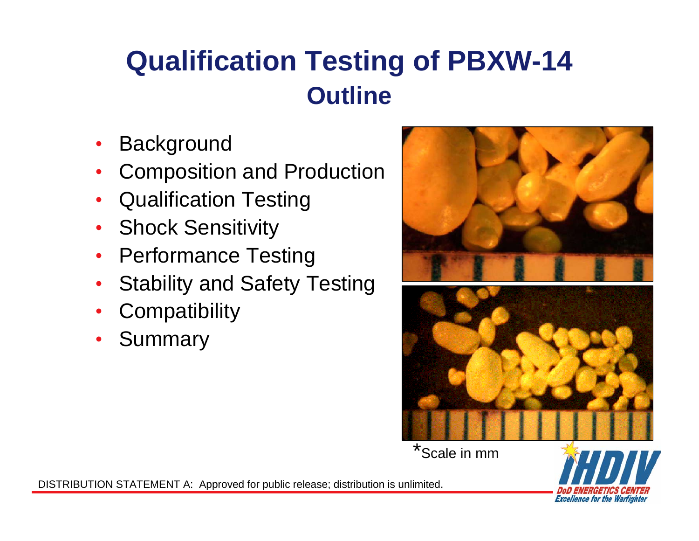# **Qualification Testing of PBXW-14 Outline**

- Background
- Composition and Production
- Qualification Testing
- Shock Sensitivity
- Performance Testing
- Stability and Safety Testing
- **Compatibility**
- **Summary**





**Excellence for the Warfighter**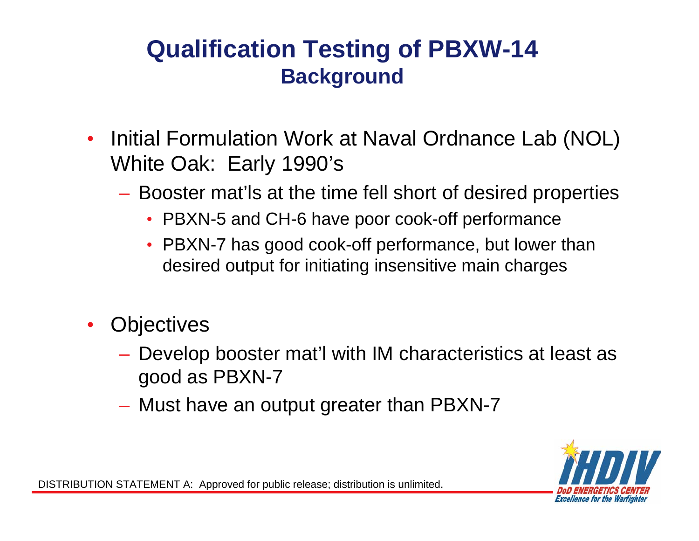#### **Qualification Testing of PBXW-14 Background**

- Initial Formulation Work at Naval Ordnance Lab (NOL) White Oak: Early 1990's
	- Booster mat'ls at the time fell short of desired properties
		- PBXN-5 and CH-6 have poor cook-off performance
		- PBXN-7 has good cook-off performance, but lower than desired output for initiating insensitive main charges
- **Objectives** 
	- Develop booster mat'l with IM characteristics at least as good as PBXN-7
	- Must have an output greater than PBXN-7

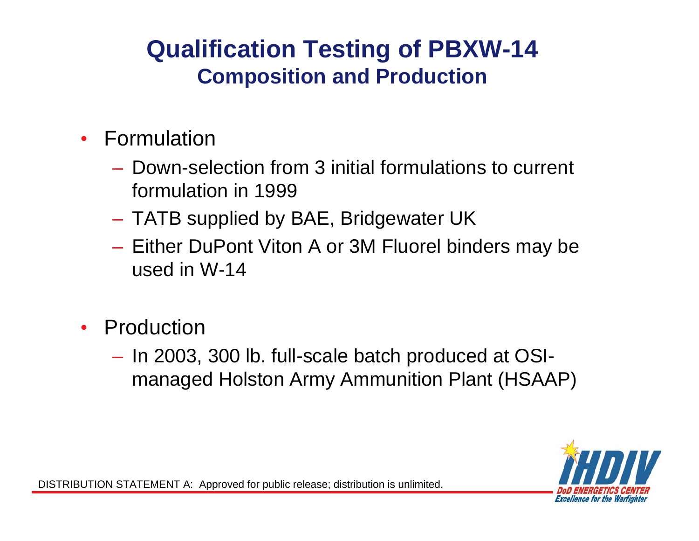#### **Qualification Testing of PBXW-14 Composition and Production**

- Formulation
	- Down-selection from 3 initial formulations to current formulation in 1999
	- TATB supplied by BAE, Bridgewater UK
	- Either DuPont Viton A or 3M Fluorel binders may be used in W-14
- **Production** 
	- In 2003, 300 lb. full-scale batch produced at OSImanaged Holston Army Ammunition Plant (HSAAP)

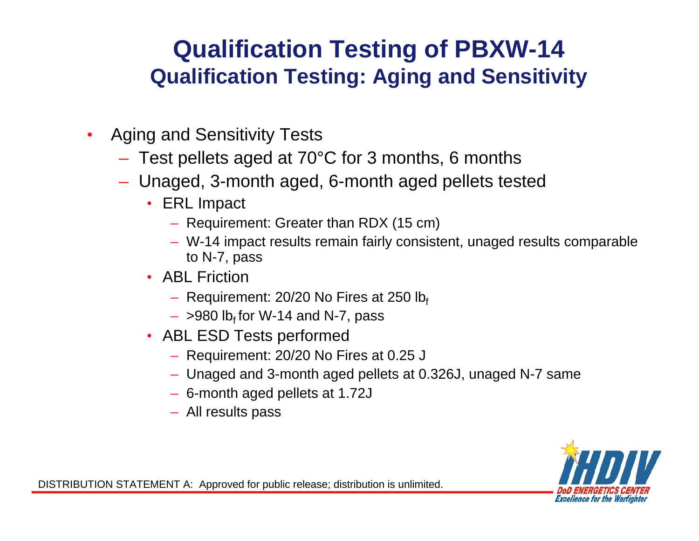#### **Qualification Testing of PBXW-14 Qualification Testing: Aging and Sensitivity**

- Aging and Sensitivity Tests
	- Test pellets aged at 70°C for 3 months, 6 months
	- Unaged, 3-month aged, 6-month aged pellets tested
		- ERL Impact
			- Requirement: Greater than RDX (15 cm)
			- W-14 impact results remain fairly consistent, unaged results comparable to N-7, pass
		- ABL Friction
			- Requirement: 20/20 No Fires at 250  $Ib_f$
			- $-$  >980 lb<sub>f</sub> for W-14 and N-7, pass
		- ABL ESD Tests performed
			- Requirement: 20/20 No Fires at 0.25 J
			- Unaged and 3-month aged pellets at 0.326J, unaged N-7 same
			- 6-month aged pellets at 1.72J
			- All results pass

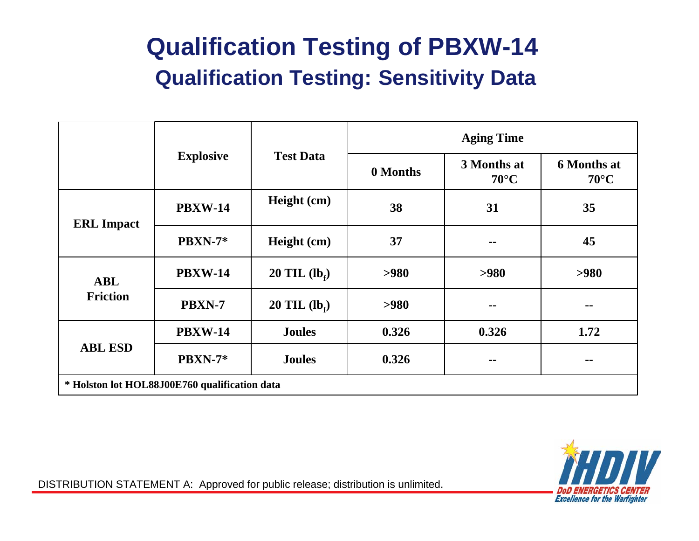#### **Qualification Testing of PBXW-14 Qualification Testing: Sensitivity Data**

|                                               |                                      |                 | <b>Aging Time</b> |                               |                                      |  |  |
|-----------------------------------------------|--------------------------------------|-----------------|-------------------|-------------------------------|--------------------------------------|--|--|
|                                               | <b>Explosive</b><br><b>Test Data</b> |                 | 0 Months          | 3 Months at<br>$70^{\circ}$ C | <b>6 Months at</b><br>$70^{\circ}$ C |  |  |
| <b>ERL</b> Impact                             | <b>PBXW-14</b>                       | Height (cm)     | 38                | 31                            | 35                                   |  |  |
|                                               | PBXN-7*                              | Height (cm)     | 37                | --                            | 45                                   |  |  |
| <b>ABL</b>                                    | <b>PBXW-14</b>                       | 20 TIL $(lb_f)$ | >980              | >980                          | >980                                 |  |  |
| <b>Friction</b>                               | PBXN-7                               | 20 TIL $(lbf)$  | >980              | --                            | --                                   |  |  |
| <b>ABL ESD</b>                                | <b>PBXW-14</b>                       | <b>Joules</b>   | 0.326             | 0.326                         | 1.72                                 |  |  |
|                                               | <b>PBXN-7*</b>                       | <b>Joules</b>   | 0.326             | --                            | $\sim$                               |  |  |
| * Holston lot HOL88J00E760 qualification data |                                      |                 |                   |                               |                                      |  |  |

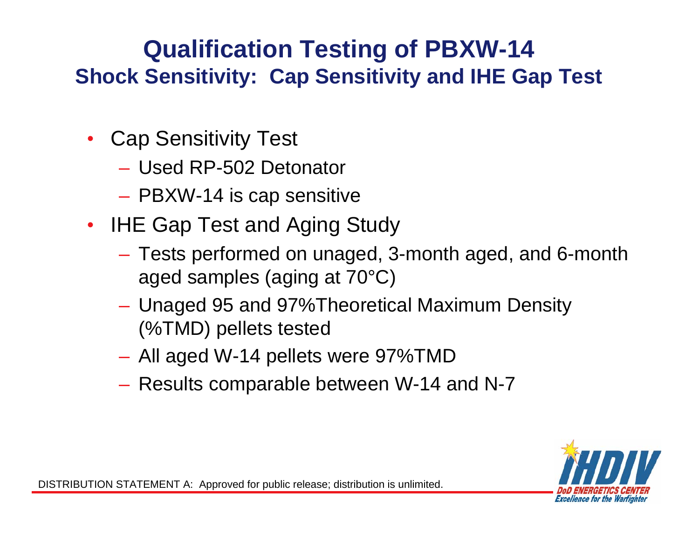#### **Qualification Testing of PBXW-14 Shock Sensitivity: Cap Sensitivity and IHE Gap Test**

- Cap Sensitivity Test
	- Used RP-502 Detonator
	- PBXW-14 is cap sensitive
- **IHE Gap Test and Aging Study** 
	- Tests performed on unaged, 3-month aged, and 6-month aged samples (aging at 70°C)
	- Unaged 95 and 97%Theoretical Maximum Density (%TMD) pellets tested
	- All aged W-14 pellets were 97%TMD
	- Results comparable between W-14 and N-7

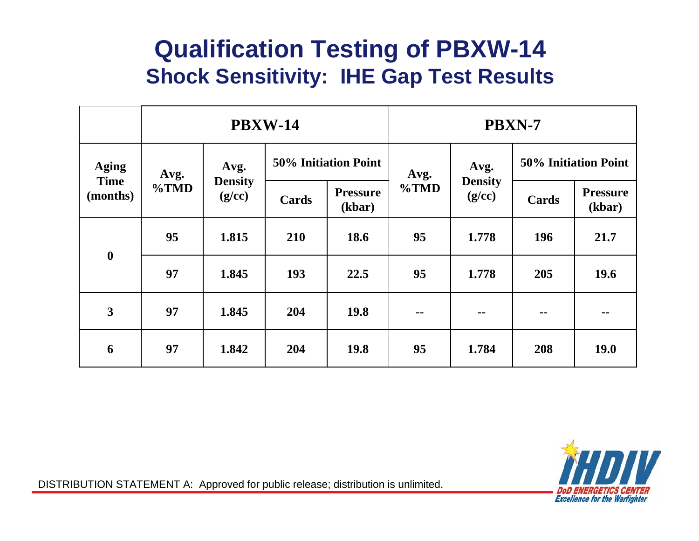#### **Qualification Testing of PBXW-14 Shock Sensitivity: IHE Gap Test Results**

|                                         | <b>PBXW-14</b>  |                          |                             |                           | <b>PBXN-7</b> |                          |                             |                           |
|-----------------------------------------|-----------------|--------------------------|-----------------------------|---------------------------|---------------|--------------------------|-----------------------------|---------------------------|
| <b>Aging</b><br><b>Time</b><br>(months) | Avg.<br>$\%TMD$ | Avg.                     | <b>50% Initiation Point</b> |                           | Avg.          | Avg.                     | <b>50% Initiation Point</b> |                           |
|                                         |                 | <b>Density</b><br>(g/cc) | Cards                       | <b>Pressure</b><br>(kbar) | $\%TMD$       | <b>Density</b><br>(g/cc) | Cards                       | <b>Pressure</b><br>(kbar) |
| $\boldsymbol{0}$                        | 95              | 1.815                    | 210                         | 18.6                      | 95            | 1.778                    | <b>196</b>                  | 21.7                      |
|                                         | 97              | 1.845                    | 193                         | 22.5                      | 95            | 1.778                    | 205                         | 19.6                      |
| 3                                       | 97              | 1.845                    | 204                         | <b>19.8</b>               | --            | --                       | --                          | --                        |
| 6                                       | 97              | 1.842                    | 204                         | 19.8                      | 95            | 1.784                    | 208                         | <b>19.0</b>               |

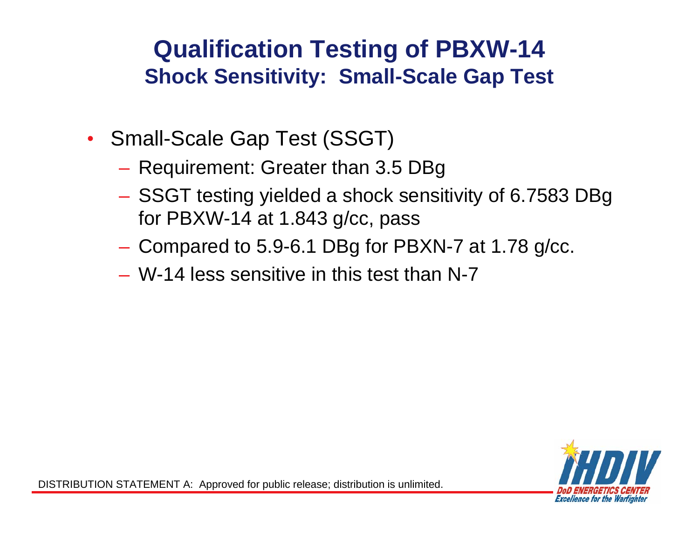#### **Qualification Testing of PBXW-14 Shock Sensitivity: Small-Scale Gap Test**

- Small-Scale Gap Test (SSGT)
	- Requirement: Greater than 3.5 DBg
	- SSGT testing yielded a shock sensitivity of 6.7583 DBg for PBXW-14 at 1.843 g/cc, pass
	- Compared to 5.9-6.1 DBg for PBXN-7 at 1.78 g/cc.
	- W-14 less sensitive in this test than N-7

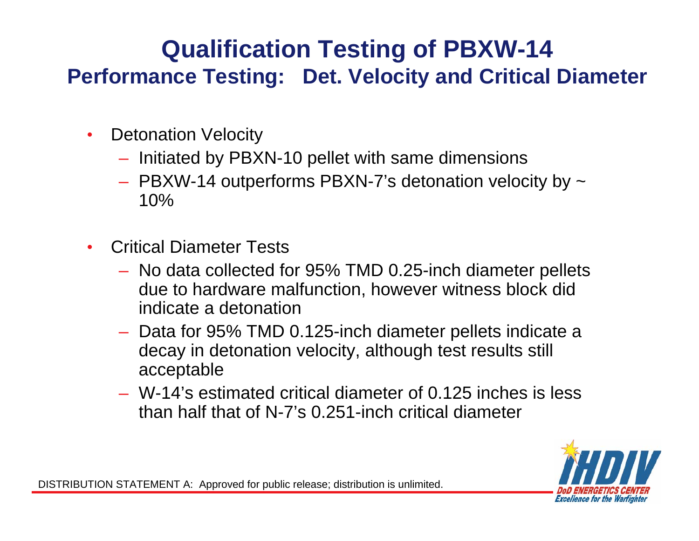#### **Qualification Testing of PBXW-14 Performance Testing: Det. Velocity and Critical Diameter**

- Detonation Velocity
	- Initiated by PBXN-10 pellet with same dimensions
	- PBXW-14 outperforms PBXN-7's detonation velocity by ~ 10%
- Critical Diameter Tests
	- No data collected for 95% TMD 0.25-inch diameter pellets due to hardware malfunction, however witness block did indicate a detonation
	- Data for 95% TMD 0.125-inch diameter pellets indicate a decay in detonation velocity, although test results still acceptable
	- W-14's estimated critical diameter of 0.125 inches is less than half that of N-7's 0.251-inch critical diameter

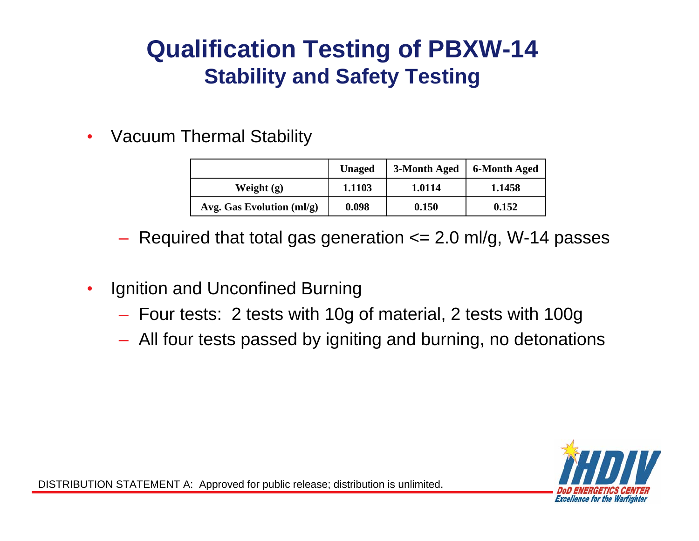#### **Qualification Testing of PBXW-14 Stability and Safety Testing**

• Vacuum Thermal Stability

|                                  | <b>Unaged</b> | 3-Month Aged | 6-Month Aged |
|----------------------------------|---------------|--------------|--------------|
| Weight $(g)$                     | 1.1103        | 1.0114       | 1.1458       |
| Avg. Gas Evolution $\text{mI/g}$ | 0.098         | 0.150        | 0.152        |

- $-$  Required that total gas generation  $\leq$  2.0 ml/g, W-14 passes
- Ignition and Unconfined Burning
	- Four tests: 2 tests with 10g of material, 2 tests with 100g
	- All four tests passed by igniting and burning, no detonations

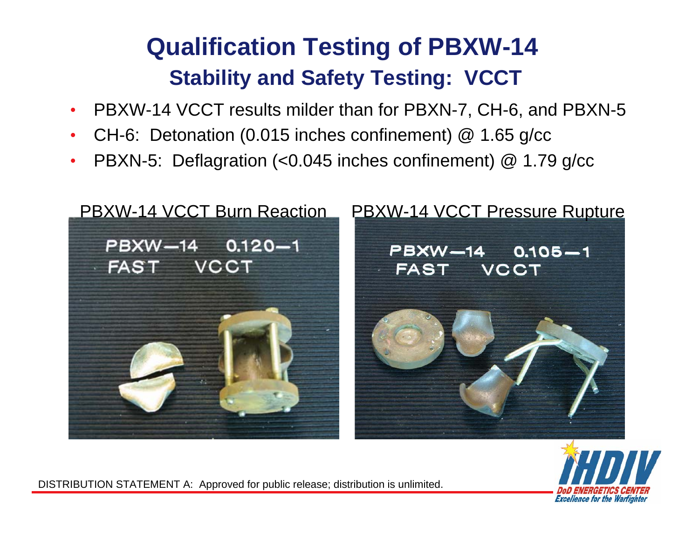### **Qualification Testing of PBXW-14 Stability and Safety Testing: VCCT**

- PBXW-14 VCCT results milder than for PBXN-7, CH-6, and PBXN-5
- CH-6: Detonation (0.015 inches confinement) @ 1.65 g/cc
- PBXN-5: Deflagration (<0.045 inches confinement) @ 1.79 g/cc





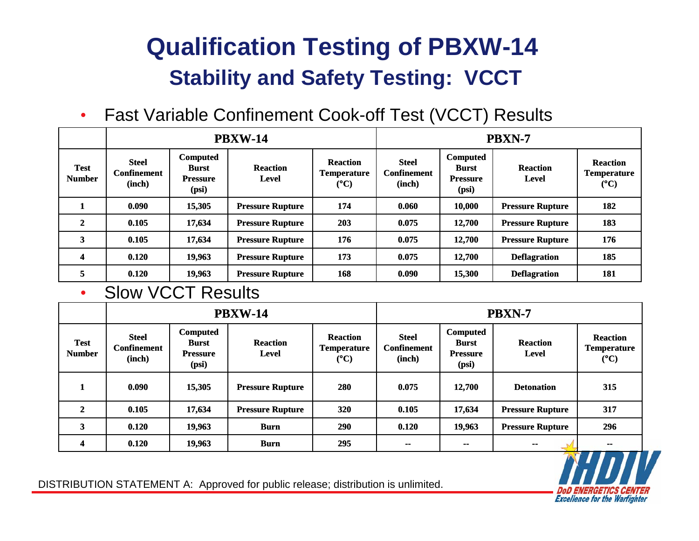### **Qualification Testing of PBXW-14 Stability and Safety Testing: VCCT**

• Fast Variable Confinement Cook-off Test (VCCT) Results

|                              | <b>PBXW-14</b>                               |                                                      |                                 |                                                 | <b>PBXN-7</b>                                |                                                             |                                 |                                                                |
|------------------------------|----------------------------------------------|------------------------------------------------------|---------------------------------|-------------------------------------------------|----------------------------------------------|-------------------------------------------------------------|---------------------------------|----------------------------------------------------------------|
| <b>Test</b><br><b>Number</b> | <b>Steel</b><br><b>Confinement</b><br>(inch) | Computed<br><b>Burst</b><br><b>Pressure</b><br>(psi) | <b>Reaction</b><br><b>Level</b> | <b>Reaction</b><br>Temperature<br>$(^{\circ}C)$ | <b>Steel</b><br><b>Confinement</b><br>(inch) | <b>Computed</b><br><b>Burst</b><br><b>Pressure</b><br>(psi) | <b>Reaction</b><br><b>Level</b> | <b>Reaction</b><br><b>Temperature</b><br>$({}^{\circ}{\rm C})$ |
|                              | 0.090                                        | 15,305                                               | <b>Pressure Rupture</b>         | 174                                             | 0.060                                        | 10,000                                                      | <b>Pressure Rupture</b>         | 182                                                            |
| $\mathbf{2}$                 | 0.105                                        | 17,634                                               | <b>Pressure Rupture</b>         | 203                                             | 0.075                                        | 12,700                                                      | <b>Pressure Rupture</b>         | 183                                                            |
| 3                            | 0.105                                        | 17,634                                               | <b>Pressure Rupture</b>         | 176                                             | 0.075                                        | 12,700                                                      | <b>Pressure Rupture</b>         | 176                                                            |
| 4                            | 0.120                                        | 19,963                                               | <b>Pressure Rupture</b>         | 173                                             | 0.075                                        | 12,700                                                      | <b>Deflagration</b>             | 185                                                            |
| 5                            | 0.120                                        | 19,963                                               | <b>Pressure Rupture</b>         | 168                                             | 0.090                                        | 15,300                                                      | <b>Deflagration</b>             | 181                                                            |

#### • Slow VCCT Results

|                              | <b>PBXW-14</b>                               |                                                      |                                 |                                                        | PBXN-7                                       |                                                             |                                 |                                                        |
|------------------------------|----------------------------------------------|------------------------------------------------------|---------------------------------|--------------------------------------------------------|----------------------------------------------|-------------------------------------------------------------|---------------------------------|--------------------------------------------------------|
| <b>Test</b><br><b>Number</b> | <b>Steel</b><br><b>Confinement</b><br>(inch) | Computed<br><b>Burst</b><br><b>Pressure</b><br>(psi) | <b>Reaction</b><br><b>Level</b> | <b>Reaction</b><br><b>Temperature</b><br>$(^{\circ}C)$ | <b>Steel</b><br><b>Confinement</b><br>(inch) | <b>Computed</b><br><b>Burst</b><br><b>Pressure</b><br>(psi) | <b>Reaction</b><br><b>Level</b> | <b>Reaction</b><br><b>Temperature</b><br>$(^{\circ}C)$ |
|                              | 0.090                                        | 15,305                                               | <b>Pressure Rupture</b>         | 280                                                    | 0.075                                        | 12,700                                                      | <b>Detonation</b>               | 315                                                    |
| $\mathbf{2}$                 | 0.105                                        | 17,634                                               | <b>Pressure Rupture</b>         | 320                                                    | 0.105                                        | 17,634                                                      | <b>Pressure Rupture</b>         | 317                                                    |
| 3                            | 0.120                                        | 19,963                                               | <b>Burn</b>                     | 290                                                    | 0.120                                        | 19,963                                                      | <b>Pressure Rupture</b>         | 296                                                    |
| 4                            | 0.120                                        | 19,963                                               | <b>Burn</b>                     | 295                                                    | $\sim$                                       | --                                                          | --                              | --<br>- 1                                              |

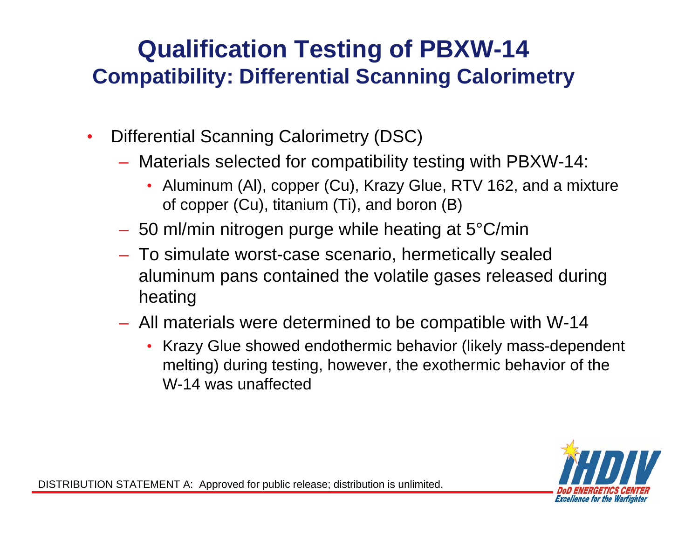#### **Qualification Testing of PBXW-14 Compatibility: Differential Scanning Calorimetry**

- Differential Scanning Calorimetry (DSC)
	- Materials selected for compatibility testing with PBXW-14:
		- Aluminum (Al), copper (Cu), Krazy Glue, RTV 162, and a mixture of copper (Cu), titanium (Ti), and boron (B)
	- 50 ml/min nitrogen purge while heating at 5°C/min
	- To simulate worst-case scenario, hermetically sealed aluminum pans contained the volatile gases released during heating
	- All materials were determined to be compatible with W-14
		- Krazy Glue showed endothermic behavior (likely mass-dependent melting) during testing, however, the exothermic behavior of the W-14 was unaffected

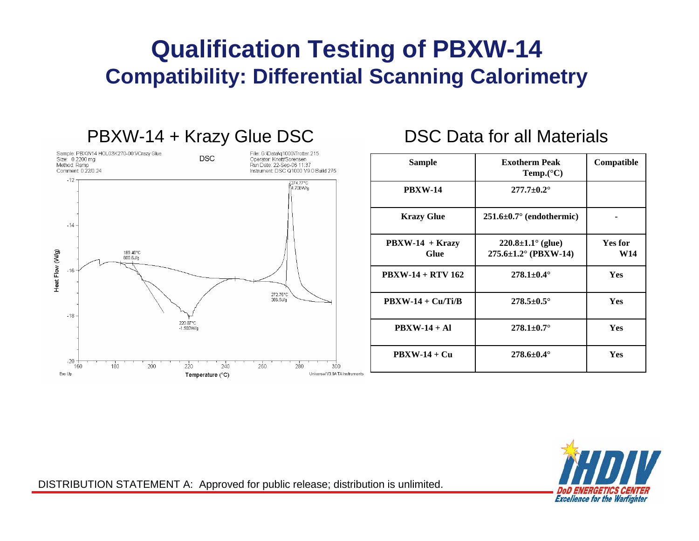#### **Qualification Testing of PBXW-14 Compatibility: Differential Scanning Calorimetry**



| <b>Sample</b>                           | <b>Exotherm Peak</b><br>Temp. $(^{\circ}C)$                         | Compatible                   |
|-----------------------------------------|---------------------------------------------------------------------|------------------------------|
| <b>PBXW-14</b>                          | $277.7 \pm 0.2^{\circ}$                                             |                              |
| <b>Krazy Glue</b>                       | $251.6 \pm 0.7^{\circ}$ (endothermic)                               |                              |
| $\text{PBXW-14} + \text{Krazy}$<br>Glue | $220.8 \pm 1.1^{\circ}$ (glue)<br>$275.6 \pm 1.2^{\circ}$ (PBXW-14) | <b>Yes for</b><br><b>W14</b> |
| $\text{PBXW-14} + \text{RTV}$ 162       | $278.1 \pm 0.4^{\circ}$                                             | <b>Yes</b>                   |
| $\text{PBXW-14} + \text{Cu/Ti/B}$       | $278.5 \pm 0.5^{\circ}$                                             | <b>Yes</b>                   |
| $\text{PBXW-14} + \text{Al}$            | $278.1 \pm 0.7^{\circ}$                                             | <b>Yes</b>                   |
| $PBXW-14 + Cu$                          | $278.6 \pm 0.4^{\circ}$                                             | <b>Yes</b>                   |

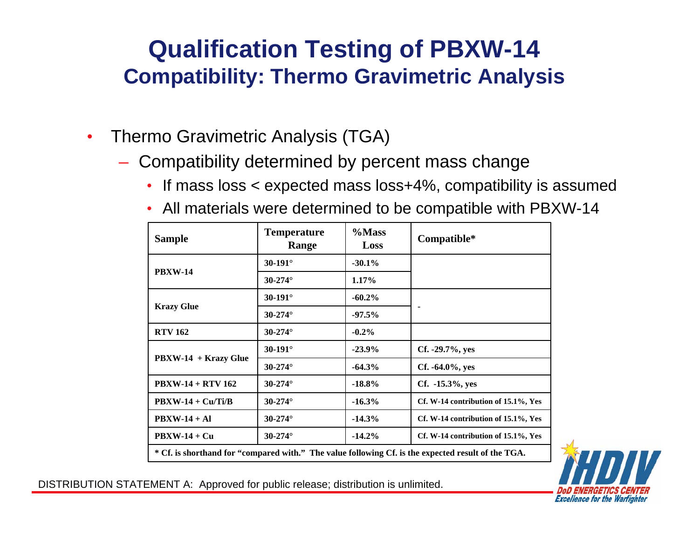#### **Qualification Testing of PBXW-14 Compatibility: Thermo Gravimetric Analysis**

- Thermo Gravimetric Analysis (TGA)
	- Compatibility determined by percent mass change
		- If mass loss < expected mass loss+4%, compatibility is assumed
		- All materials were determined to be compatible with PBXW-14

| <b>Sample</b>                                                                                      | <b>Temperature</b><br>Range | $\%$ Mass<br>Loss | Compatible*                         |  |  |  |
|----------------------------------------------------------------------------------------------------|-----------------------------|-------------------|-------------------------------------|--|--|--|
|                                                                                                    | $30 - 191^\circ$            | $-30.1\%$         |                                     |  |  |  |
| <b>PBXW-14</b>                                                                                     | $30 - 274^{\circ}$          | $1.17\%$          |                                     |  |  |  |
|                                                                                                    | $30 - 191^\circ$            | $-60.2\%$         |                                     |  |  |  |
| <b>Krazy Glue</b>                                                                                  | $30 - 274^\circ$            | $-97.5%$          |                                     |  |  |  |
| <b>RTV 162</b>                                                                                     | $30 - 274^{\circ}$          | $-0.2\%$          |                                     |  |  |  |
| $\text{PBXW-14} + \text{Krazy}$ Glue                                                               | $30 - 191^\circ$            | $-23.9%$          | $Cf. -29.7\%, yes$                  |  |  |  |
|                                                                                                    | $30 - 274^{\circ}$          | $-64.3%$          | $Cf. -64.0\%, yes$                  |  |  |  |
| $\text{PBXW-14} + \text{RTV}$ 162                                                                  | $30 - 274^\circ$            | $-18.8\%$         | Cf. -15.3%, yes                     |  |  |  |
| $PBXW-14 + Cu/Ti/B$                                                                                | $30 - 274^{\circ}$          | $-16.3%$          | Cf. W-14 contribution of 15.1%, Yes |  |  |  |
| $PBXW-14 + Al$                                                                                     | $30 - 274^{\circ}$          | $-14.3%$          | Cf. W-14 contribution of 15.1%, Yes |  |  |  |
| $PBXW-14 + Cu$                                                                                     | $30 - 274^{\circ}$          | $-14.2%$          | Cf. W-14 contribution of 15.1%, Yes |  |  |  |
| * Cf. is shorthand for "compared with." The value following Cf. is the expected result of the TGA. |                             |                   |                                     |  |  |  |

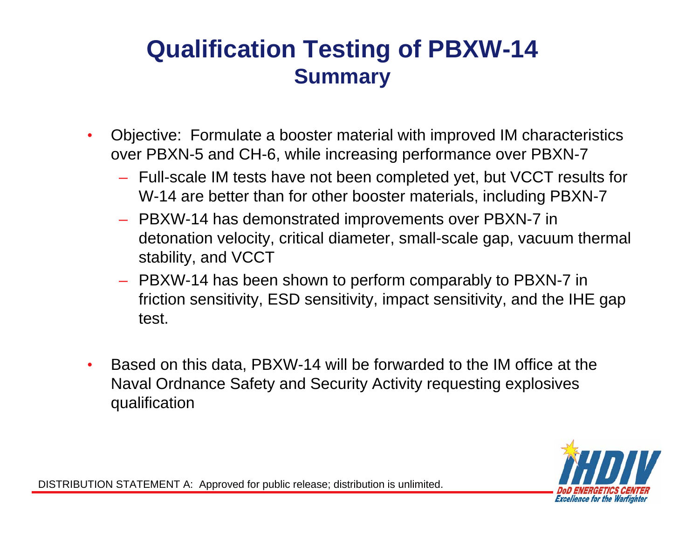#### **Qualification Testing of PBXW-14 Summary**

- Objective: Formulate a booster material with improved IM characteristics over PBXN-5 and CH-6, while increasing performance over PBXN-7
	- Full-scale IM tests have not been completed yet, but VCCT results for W-14 are better than for other booster materials, including PBXN-7
	- PBXW-14 has demonstrated improvements over PBXN-7 in detonation velocity, critical diameter, small-scale gap, vacuum thermal stability, and VCCT
	- PBXW-14 has been shown to perform comparably to PBXN-7 in friction sensitivity, ESD sensitivity, impact sensitivity, and the IHE gap test.
- Based on this data, PBXW-14 will be forwarded to the IM office at the Naval Ordnance Safety and Security Activity requesting explosives qualification